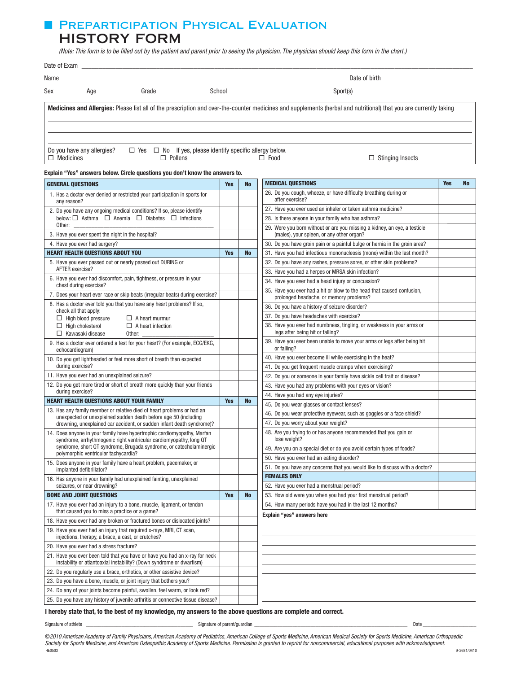## **E PREPARTICIPATION PHYSICAL EVALUATION** HISTORY FORM

(Note: This form is to be filled out by the patient and parent prior to seeing the physician. The physician should keep this form in the chart.)

|                  |                            | Sex ___________ Age ______________ Grade _______________ |                                                                                     |                                                                                                                                                                    |
|------------------|----------------------------|----------------------------------------------------------|-------------------------------------------------------------------------------------|--------------------------------------------------------------------------------------------------------------------------------------------------------------------|
|                  |                            |                                                          |                                                                                     | Medicines and Allergies: Please list all of the prescription and over-the-counter medicines and supplements (herbal and nutritional) that you are currently taking |
| $\Box$ Medicines | Do you have any allergies? | $\Box$ Pollens                                           | $\Box$ Yes $\Box$ No If yes, please identify specific allergy below.<br>$\Box$ Food | $\Box$ Stinging Insects                                                                                                                                            |

### **Explain "Yes" answers below. Circle questions you don't know the answers to.**

| <b>GENERAL QUESTIONS</b>                                                                                                                            | <b>Yes</b> | <b>No</b> | <b>MEDICAL QUESTIONS</b>                                                                                               | <b>Yes</b> | <b>No</b> |
|-----------------------------------------------------------------------------------------------------------------------------------------------------|------------|-----------|------------------------------------------------------------------------------------------------------------------------|------------|-----------|
| 1. Has a doctor ever denied or restricted your participation in sports for<br>any reason?                                                           |            |           | 26. Do you cough, wheeze, or have difficulty breathing during or<br>after exercise?                                    |            |           |
| 2. Do you have any ongoing medical conditions? If so, please identify                                                                               |            |           | 27. Have you ever used an inhaler or taken asthma medicine?                                                            |            |           |
| below: $\Box$ Asthma $\Box$ Anemia $\Box$ Diabetes $\Box$ Infections                                                                                |            |           | 28. Is there anyone in your family who has asthma?                                                                     |            |           |
| Other:<br>3. Have you ever spent the night in the hospital?                                                                                         |            |           | 29. Were you born without or are you missing a kidney, an eye, a testicle<br>(males), your spleen, or any other organ? |            |           |
| 4. Have you ever had surgery?                                                                                                                       |            |           | 30. Do you have groin pain or a painful bulge or hernia in the groin area?                                             |            |           |
| <b>HEART HEALTH QUESTIONS ABOUT YOU</b>                                                                                                             | <b>Yes</b> | <b>No</b> | 31. Have you had infectious mononucleosis (mono) within the last month?                                                |            |           |
| 5. Have you ever passed out or nearly passed out DURING or                                                                                          |            |           | 32. Do you have any rashes, pressure sores, or other skin problems?                                                    |            |           |
| AFTER exercise?                                                                                                                                     |            |           | 33. Have you had a herpes or MRSA skin infection?                                                                      |            |           |
| 6. Have you ever had discomfort, pain, tightness, or pressure in your<br>chest during exercise?                                                     |            |           | 34. Have you ever had a head injury or concussion?                                                                     |            |           |
| 7. Does your heart ever race or skip beats (irregular beats) during exercise?                                                                       |            |           | 35. Have you ever had a hit or blow to the head that caused confusion,<br>prolonged headache, or memory problems?      |            |           |
| 8. Has a doctor ever told you that you have any heart problems? If so,<br>check all that apply:                                                     |            |           | 36. Do you have a history of seizure disorder?                                                                         |            |           |
| $\Box$ High blood pressure<br>$\Box$ A heart murmur                                                                                                 |            |           | 37. Do you have headaches with exercise?                                                                               |            |           |
| $\Box$ High cholesterol<br>$\Box$ A heart infection<br>$\Box$ Kawasaki disease<br>Other:                                                            |            |           | 38. Have you ever had numbness, tingling, or weakness in your arms or<br>legs after being hit or falling?              |            |           |
| 9. Has a doctor ever ordered a test for your heart? (For example, ECG/EKG,<br>echocardiogram)                                                       |            |           | 39. Have you ever been unable to move your arms or legs after being hit<br>or falling?                                 |            |           |
| 10. Do you get lightheaded or feel more short of breath than expected                                                                               |            |           | 40. Have you ever become ill while exercising in the heat?                                                             |            |           |
| during exercise?                                                                                                                                    |            |           | 41. Do you get frequent muscle cramps when exercising?                                                                 |            |           |
| 11. Have you ever had an unexplained seizure?                                                                                                       |            |           | 42. Do you or someone in your family have sickle cell trait or disease?                                                |            |           |
| 12. Do you get more tired or short of breath more quickly than your friends                                                                         |            |           | 43. Have you had any problems with your eyes or vision?                                                                |            |           |
| during exercise?                                                                                                                                    |            |           | 44. Have you had any eye injuries?                                                                                     |            |           |
| <b>HEART HEALTH QUESTIONS ABOUT YOUR FAMILY</b>                                                                                                     | <b>Yes</b> | <b>No</b> | 45. Do you wear glasses or contact lenses?                                                                             |            |           |
| 13. Has any family member or relative died of heart problems or had an<br>unexpected or unexplained sudden death before age 50 (including           |            |           | 46. Do you wear protective eyewear, such as goggles or a face shield?                                                  |            |           |
| drowning, unexplained car accident, or sudden infant death syndrome)?                                                                               |            |           | 47. Do you worry about your weight?                                                                                    |            |           |
| 14. Does anyone in your family have hypertrophic cardiomyopathy, Marfan<br>syndrome, arrhythmogenic right ventricular cardiomyopathy, long QT       |            |           | 48. Are you trying to or has anyone recommended that you gain or<br>lose weight?                                       |            |           |
| syndrome, short QT syndrome, Brugada syndrome, or catecholaminergic<br>polymorphic ventricular tachycardia?                                         |            |           | 49. Are you on a special diet or do you avoid certain types of foods?                                                  |            |           |
| 15. Does anyone in your family have a heart problem, pacemaker, or                                                                                  |            |           | 50. Have you ever had an eating disorder?                                                                              |            |           |
| implanted defibrillator?                                                                                                                            |            |           | 51. Do you have any concerns that you would like to discuss with a doctor?                                             |            |           |
| 16. Has anyone in your family had unexplained fainting, unexplained                                                                                 |            |           | <b>FEMALES ONLY</b>                                                                                                    |            |           |
| seizures, or near drowning?                                                                                                                         |            |           | 52. Have you ever had a menstrual period?                                                                              |            |           |
| <b>BONE AND JOINT QUESTIONS</b>                                                                                                                     | <b>Yes</b> | <b>No</b> | 53. How old were you when you had your first menstrual period?                                                         |            |           |
| 17. Have you ever had an injury to a bone, muscle, ligament, or tendon<br>that caused you to miss a practice or a game?                             |            |           | 54. How many periods have you had in the last 12 months?<br>Explain "yes" answers here                                 |            |           |
| 18. Have you ever had any broken or fractured bones or dislocated joints?                                                                           |            |           |                                                                                                                        |            |           |
| 19. Have you ever had an injury that required x-rays, MRI, CT scan,<br>injections, therapy, a brace, a cast, or crutches?                           |            |           |                                                                                                                        |            |           |
| 20. Have you ever had a stress fracture?                                                                                                            |            |           |                                                                                                                        |            |           |
| 21. Have you ever been told that you have or have you had an x-ray for neck<br>instability or atlantoaxial instability? (Down syndrome or dwarfism) |            |           |                                                                                                                        |            |           |
| 22. Do you regularly use a brace, orthotics, or other assistive device?                                                                             |            |           |                                                                                                                        |            |           |
| 23. Do you have a bone, muscle, or joint injury that bothers you?                                                                                   |            |           |                                                                                                                        |            |           |
| 24. Do any of your joints become painful, swollen, feel warm, or look red?                                                                          |            |           |                                                                                                                        |            |           |
| 25. Do you have any history of juvenile arthritis or connective tissue disease?                                                                     |            |           |                                                                                                                        |            |           |

**I hereby state that, to the best of my knowledge, my answers to the above questions are complete and correct.**

Signature of athlete \_\_\_\_\_\_\_\_\_\_\_\_\_\_\_\_\_\_\_\_\_\_\_\_\_\_\_\_\_\_\_\_\_\_\_\_\_\_\_\_\_\_ Signature of parent/guardian \_\_\_\_\_\_\_\_\_\_\_\_\_\_\_\_\_\_\_\_\_\_\_\_\_\_\_\_\_\_\_\_\_\_\_\_\_\_\_\_\_\_\_\_\_\_\_\_\_\_\_\_\_\_\_\_\_\_\_\_ Date \_\_\_\_\_\_\_\_\_\_\_\_\_\_\_\_\_\_\_\_\_

©2010 American Academy of Family Physicians, American Academy of Pediatrics, American College of Sports Medicine, American Medical Society for Sports Medicine, American Orthopaedic Society for Sports Medicine, and American Osteopathic Academy of Sports Medicine. Permission is granted to reprint for noncommercial, educational purposes with acknowledgment.<br>HEO503 HE0503 9-2681/0410